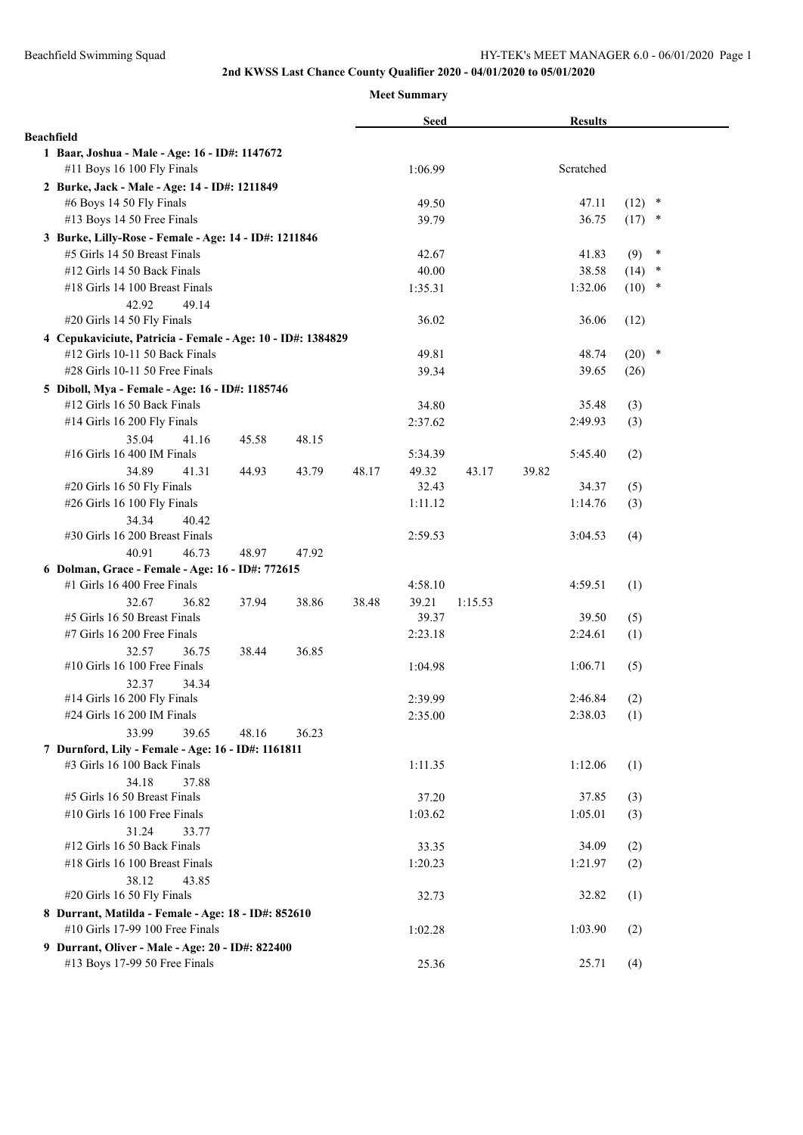## **2nd KWSS Last Chance County Qualifier 2020 - 04/01/2020 to 05/01/2020**

#### **Meet Summary**

|                                                                                               |       | <b>Seed</b> |         | <b>Results</b> |          |        |
|-----------------------------------------------------------------------------------------------|-------|-------------|---------|----------------|----------|--------|
| <b>Beachfield</b>                                                                             |       |             |         |                |          |        |
| 1 Baar, Joshua - Male - Age: 16 - ID#: 1147672                                                |       |             |         |                |          |        |
| #11 Boys 16 100 Fly Finals                                                                    |       | 1:06.99     |         | Scratched      |          |        |
| 2 Burke, Jack - Male - Age: 14 - ID#: 1211849                                                 |       |             |         |                |          |        |
| #6 Boys 14 50 Fly Finals                                                                      |       | 49.50       |         | 47.11          | $(12)$ * |        |
| #13 Boys 14 50 Free Finals                                                                    |       | 39.79       |         | 36.75          | $(17)$ * |        |
| 3 Burke, Lilly-Rose - Female - Age: 14 - ID#: 1211846                                         |       |             |         |                |          |        |
| #5 Girls 14 50 Breast Finals                                                                  |       | 42.67       |         | 41.83          | (9)      | $\ast$ |
| #12 Girls 14 50 Back Finals                                                                   |       | 40.00       |         | 38.58          | (14)     | $\ast$ |
| #18 Girls 14 100 Breast Finals                                                                |       | 1:35.31     |         | 1:32.06        | $(10)$ * |        |
| 42.92<br>49.14                                                                                |       |             |         |                |          |        |
| #20 Girls 14 50 Fly Finals                                                                    |       | 36.02       |         | 36.06          | (12)     |        |
| 4 Cepukaviciute, Patricia - Female - Age: 10 - ID#: 1384829<br>#12 Girls 10-11 50 Back Finals |       | 49.81       |         | 48.74          | $(20)$ * |        |
| $\#28$ Girls 10-11 50 Free Finals                                                             |       | 39.34       |         | 39.65          | (26)     |        |
|                                                                                               |       |             |         |                |          |        |
| 5 Diboll, Mya - Female - Age: 16 - ID#: 1185746<br>#12 Girls 16 50 Back Finals                |       | 34.80       |         | 35.48          | (3)      |        |
| #14 Girls 16 200 Fly Finals                                                                   |       | 2:37.62     |         | 2:49.93        | (3)      |        |
| 35.04<br>48.15<br>41.16<br>45.58                                                              |       |             |         |                |          |        |
| #16 Girls 16 400 IM Finals                                                                    |       | 5:34.39     |         | 5:45.40        | (2)      |        |
| 34.89<br>41.31<br>44.93<br>43.79                                                              | 48.17 | 49.32       | 43.17   | 39.82          |          |        |
| #20 Girls 16 50 Fly Finals                                                                    |       | 32.43       |         | 34.37          | (5)      |        |
| #26 Girls 16 100 Fly Finals                                                                   |       | 1:11.12     |         | 1:14.76        | (3)      |        |
| 34.34<br>40.42                                                                                |       |             |         |                |          |        |
| #30 Girls 16 200 Breast Finals                                                                |       | 2:59.53     |         | 3:04.53        | (4)      |        |
| 40.91<br>46.73<br>48.97<br>47.92                                                              |       |             |         |                |          |        |
| 6 Dolman, Grace - Female - Age: 16 - ID#: 772615                                              |       |             |         |                |          |        |
| #1 Girls 16 400 Free Finals                                                                   |       | 4:58.10     |         | 4:59.51        | (1)      |        |
| 32.67<br>36.82<br>37.94<br>38.86                                                              | 38.48 | 39.21       | 1:15.53 |                |          |        |
| #5 Girls 16 50 Breast Finals                                                                  |       | 39.37       |         | 39.50          | (5)      |        |
| #7 Girls 16 200 Free Finals                                                                   |       | 2:23.18     |         | 2:24.61        | (1)      |        |
| 32.57<br>36.75<br>38.44<br>36.85<br>#10 Girls 16 100 Free Finals                              |       | 1:04.98     |         | 1:06.71        | (5)      |        |
| 32.37<br>34.34                                                                                |       |             |         |                |          |        |
| #14 Girls 16 200 Fly Finals                                                                   |       | 2:39.99     |         | 2:46.84        | (2)      |        |
| #24 Girls 16 200 IM Finals                                                                    |       | 2:35.00     |         | 2:38.03        | (1)      |        |
| 33.99<br>39.65<br>48.16<br>36.23                                                              |       |             |         |                |          |        |
| 7 Durnford, Lily - Female - Age: 16 - ID#: 1161811                                            |       |             |         |                |          |        |
| #3 Girls 16 100 Back Finals                                                                   |       | 1:11.35     |         | 1:12.06        | (1)      |        |
| 34.18<br>37.88                                                                                |       |             |         |                |          |        |
| #5 Girls 16 50 Breast Finals                                                                  |       | 37.20       |         | 37.85          | (3)      |        |
| #10 Girls 16 100 Free Finals                                                                  |       | 1:03.62     |         | 1:05.01        | (3)      |        |
| 31.24<br>33.77                                                                                |       |             |         |                |          |        |
| #12 Girls 16 50 Back Finals                                                                   |       | 33.35       |         | 34.09          | (2)      |        |
| #18 Girls 16 100 Breast Finals                                                                |       | 1:20.23     |         | 1:21.97        | (2)      |        |
| 38.12<br>43.85                                                                                |       |             |         |                |          |        |
| #20 Girls 16 50 Fly Finals                                                                    |       | 32.73       |         | 32.82          | (1)      |        |
| 8 Durrant, Matilda - Female - Age: 18 - ID#: 852610                                           |       |             |         |                |          |        |
| #10 Girls 17-99 100 Free Finals                                                               |       | 1:02.28     |         | 1:03.90        | (2)      |        |
| 9 Durrant, Oliver - Male - Age: 20 - ID#: 822400<br>#13 Boys 17-99 50 Free Finals             |       | 25.36       |         | 25.71          | (4)      |        |
|                                                                                               |       |             |         |                |          |        |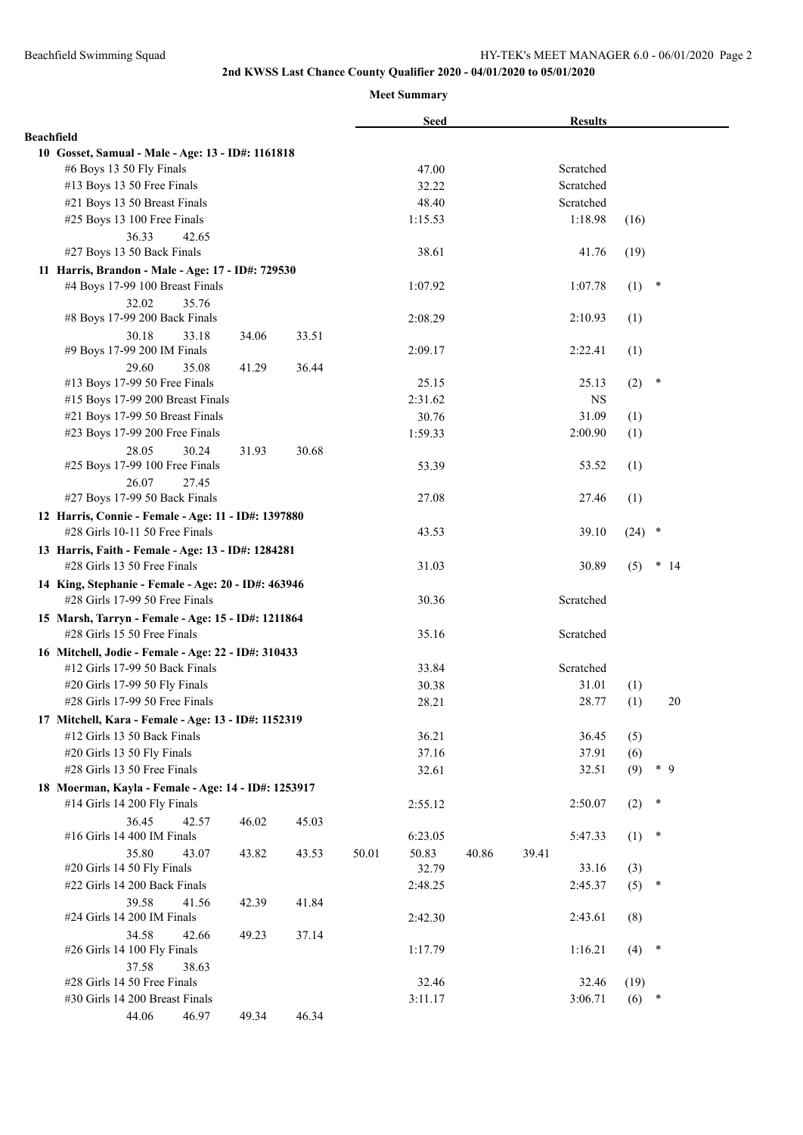## **2nd KWSS Last Chance County Qualifier 2020 - 04/01/2020 to 05/01/2020**

**Meet Summary**

|                   |                                                     |       |       |       | <b>Seed</b> |       | <b>Results</b> |         |               |  |
|-------------------|-----------------------------------------------------|-------|-------|-------|-------------|-------|----------------|---------|---------------|--|
| <b>Beachfield</b> |                                                     |       |       |       |             |       |                |         |               |  |
|                   | 10 Gosset, Samual - Male - Age: 13 - ID#: 1161818   |       |       |       |             |       |                |         |               |  |
|                   | #6 Boys 13 50 Fly Finals                            |       |       |       | 47.00       |       | Scratched      |         |               |  |
|                   | #13 Boys 13 50 Free Finals                          |       |       |       | 32.22       |       | Scratched      |         |               |  |
|                   | #21 Boys 13 50 Breast Finals                        |       |       |       | 48.40       |       | Scratched      |         |               |  |
|                   | #25 Boys 13 100 Free Finals                         |       |       |       | 1:15.53     |       | 1:18.98        | (16)    |               |  |
|                   | 36.33<br>42.65                                      |       |       |       |             |       |                |         |               |  |
|                   | #27 Boys 13 50 Back Finals                          |       |       |       | 38.61       |       | 41.76          | (19)    |               |  |
|                   | 11 Harris, Brandon - Male - Age: 17 - ID#: 729530   |       |       |       |             |       |                |         |               |  |
|                   | #4 Boys 17-99 100 Breast Finals                     |       |       |       | 1:07.92     |       | 1:07.78        | (1)     | $\ast$        |  |
|                   | 35.76<br>32.02                                      |       |       |       |             |       |                |         |               |  |
|                   | #8 Boys 17-99 200 Back Finals                       |       |       |       | 2:08.29     |       | 2:10.93        | (1)     |               |  |
|                   | 30.18<br>33.18                                      | 34.06 | 33.51 |       |             |       |                |         |               |  |
|                   | #9 Boys 17-99 200 IM Finals                         |       |       |       | 2:09.17     |       | 2:22.41        | (1)     |               |  |
|                   | 29.60<br>35.08<br>#13 Boys 17-99 50 Free Finals     | 41.29 | 36.44 |       | 25.15       |       | 25.13          | (2)     | $\ast$        |  |
|                   | #15 Boys 17-99 200 Breast Finals                    |       |       |       | 2:31.62     |       | <b>NS</b>      |         |               |  |
|                   | #21 Boys 17-99 50 Breast Finals                     |       |       |       | 30.76       |       | 31.09          | (1)     |               |  |
|                   | #23 Boys 17-99 200 Free Finals                      |       |       |       | 1:59.33     |       | 2:00.90        | (1)     |               |  |
|                   | 28.05<br>30.24                                      | 31.93 | 30.68 |       |             |       |                |         |               |  |
|                   | #25 Boys 17-99 100 Free Finals                      |       |       |       | 53.39       |       | 53.52          | (1)     |               |  |
|                   | 26.07<br>27.45                                      |       |       |       |             |       |                |         |               |  |
|                   | #27 Boys 17-99 50 Back Finals                       |       |       |       | 27.08       |       | 27.46          | (1)     |               |  |
|                   | 12 Harris, Connie - Female - Age: 11 - ID#: 1397880 |       |       |       |             |       |                |         |               |  |
|                   | $#28$ Girls 10-11 50 Free Finals                    |       |       |       | 43.53       |       | 39.10          | (24)    | $\ast$        |  |
|                   | 13 Harris, Faith - Female - Age: 13 - ID#: 1284281  |       |       |       |             |       |                |         |               |  |
|                   | #28 Girls 13 50 Free Finals                         |       |       |       | 31.03       |       | 30.89          | (5)     | $\ast$<br>-14 |  |
|                   | 14 King, Stephanie - Female - Age: 20 - ID#: 463946 |       |       |       |             |       |                |         |               |  |
|                   | #28 Girls 17-99 50 Free Finals                      |       |       |       | 30.36       |       | Scratched      |         |               |  |
|                   | 15 Marsh, Tarryn - Female - Age: 15 - ID#: 1211864  |       |       |       |             |       |                |         |               |  |
|                   | #28 Girls 15 50 Free Finals                         |       |       |       | 35.16       |       | Scratched      |         |               |  |
|                   | 16 Mitchell, Jodie - Female - Age: 22 - ID#: 310433 |       |       |       |             |       |                |         |               |  |
|                   | #12 Girls 17-99 50 Back Finals                      |       |       |       | 33.84       |       | Scratched      |         |               |  |
|                   | #20 Girls 17-99 50 Fly Finals                       |       |       |       | 30.38       |       | 31.01          | (1)     |               |  |
|                   | #28 Girls 17-99 50 Free Finals                      |       |       |       | 28.21       |       | 28.77          | (1)     | 20            |  |
|                   | 17 Mitchell, Kara - Female - Age: 13 - ID#: 1152319 |       |       |       |             |       |                |         |               |  |
|                   | #12 Girls 13 50 Back Finals                         |       |       |       | 36.21       |       | 36.45          | (5)     |               |  |
|                   | #20 Girls 13 50 Fly Finals                          |       |       |       | 37.16       |       | 37.91          | (6)     |               |  |
|                   | #28 Girls 13 50 Free Finals                         |       |       |       | 32.61       |       | 32.51          | (9)     | $*$ 9         |  |
|                   | 18 Moerman, Kayla - Female - Age: 14 - ID#: 1253917 |       |       |       |             |       |                |         |               |  |
|                   | #14 Girls 14 200 Fly Finals                         |       |       |       | 2:55.12     |       | 2:50.07        | (2)     | $\ast$        |  |
|                   | 36.45<br>42.57                                      | 46.02 | 45.03 |       |             |       |                |         |               |  |
|                   | #16 Girls 14 400 IM Finals                          |       |       |       | 6:23.05     |       | 5:47.33        | (1)     | $\ast$        |  |
|                   | 35.80<br>43.07                                      | 43.82 | 43.53 | 50.01 | 50.83       | 40.86 | 39.41          |         |               |  |
|                   | #20 Girls 14 50 Fly Finals                          |       |       |       | 32.79       |       | 33.16          | (3)     |               |  |
|                   | #22 Girls 14 200 Back Finals                        |       |       |       | 2:48.25     |       | 2:45.37        | (5)     | $\ast$        |  |
|                   | 39.58<br>41.56                                      | 42.39 | 41.84 |       |             |       |                |         |               |  |
|                   | #24 Girls 14 200 IM Finals                          |       |       |       | 2:42.30     |       | 2:43.61        | (8)     |               |  |
|                   | 34.58<br>42.66                                      | 49.23 | 37.14 |       |             |       |                |         |               |  |
|                   | #26 Girls 14 100 Fly Finals                         |       |       |       | 1:17.79     |       | 1:16.21        | (4)     | $\ast$        |  |
|                   | 37.58<br>38.63                                      |       |       |       |             |       |                |         |               |  |
|                   | #28 Girls 14 50 Free Finals                         |       |       |       | 32.46       |       | 32.46          | (19)    |               |  |
|                   | #30 Girls 14 200 Breast Finals                      |       |       |       | 3:11.17     |       | 3:06.71        | $(6)$ * |               |  |
|                   | 44.06<br>46.97                                      | 49.34 | 46.34 |       |             |       |                |         |               |  |